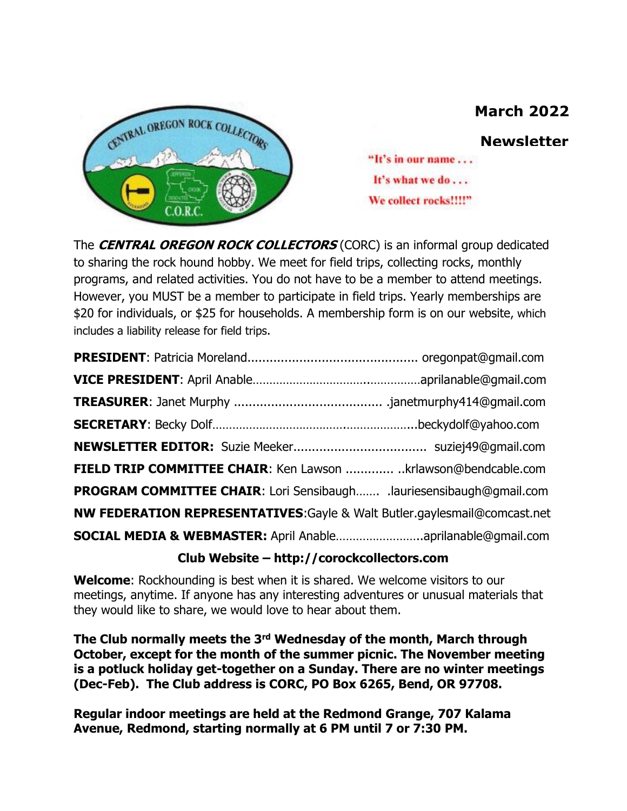# **March 2022**



**Newsletter**

"It's in our name... It's what we do . . . We collect rocks!!!!"

The **CENTRAL OREGON ROCK COLLECTORS** (CORC) is an informal group dedicated to sharing the rock hound hobby. We meet for field trips, collecting rocks, monthly programs, and related activities. You do not have to be a member to attend meetings. However, you MUST be a member to participate in field trips. Yearly memberships are \$20 for individuals, or \$25 for households. A membership form is on our website, which includes a liability release for field trips.

| FIELD TRIP COMMITTEE CHAIR: Ken Lawson  krlawson@bendcable.com            |  |
|---------------------------------------------------------------------------|--|
| PROGRAM COMMITTEE CHAIR: Lori Sensibaugh .lauriesensibaugh@gmail.com      |  |
| NW FEDERATION REPRESENTATIVES: Gayle & Walt Butler.gaylesmail@comcast.net |  |
| SOCIAL MEDIA & WEBMASTER: April Anableaprilanable@gmail.com               |  |
|                                                                           |  |

#### **Club Website – http://corockcollectors.com**

**Welcome**: Rockhounding is best when it is shared. We welcome visitors to our meetings, anytime. If anyone has any interesting adventures or unusual materials that they would like to share, we would love to hear about them.

**The Club normally meets the 3rd Wednesday of the month, March through October, except for the month of the summer picnic. The November meeting is a potluck holiday get-together on a Sunday. There are no winter meetings (Dec-Feb). The Club address is CORC, PO Box 6265, Bend, OR 97708.**

**Regular indoor meetings are held at the Redmond Grange, 707 Kalama Avenue, Redmond, starting normally at 6 PM until 7 or 7:30 PM.**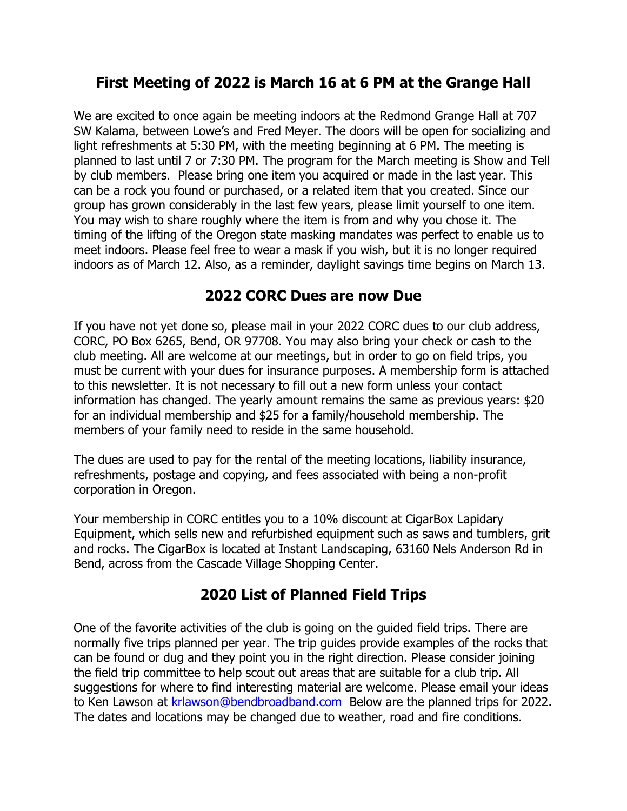## **First Meeting of 2022 is March 16 at 6 PM at the Grange Hall**

We are excited to once again be meeting indoors at the Redmond Grange Hall at 707 SW Kalama, between Lowe's and Fred Meyer. The doors will be open for socializing and light refreshments at 5:30 PM, with the meeting beginning at 6 PM. The meeting is planned to last until 7 or 7:30 PM. The program for the March meeting is Show and Tell by club members. Please bring one item you acquired or made in the last year. This can be a rock you found or purchased, or a related item that you created. Since our group has grown considerably in the last few years, please limit yourself to one item. You may wish to share roughly where the item is from and why you chose it. The timing of the lifting of the Oregon state masking mandates was perfect to enable us to meet indoors. Please feel free to wear a mask if you wish, but it is no longer required indoors as of March 12. Also, as a reminder, daylight savings time begins on March 13.

#### **2022 CORC Dues are now Due**

If you have not yet done so, please mail in your 2022 CORC dues to our club address, CORC, PO Box 6265, Bend, OR 97708. You may also bring your check or cash to the club meeting. All are welcome at our meetings, but in order to go on field trips, you must be current with your dues for insurance purposes. A membership form is attached to this newsletter. It is not necessary to fill out a new form unless your contact information has changed. The yearly amount remains the same as previous years: \$20 for an individual membership and \$25 for a family/household membership. The members of your family need to reside in the same household.

The dues are used to pay for the rental of the meeting locations, liability insurance, refreshments, postage and copying, and fees associated with being a non-profit corporation in Oregon.

Your membership in CORC entitles you to a 10% discount at CigarBox Lapidary Equipment, which sells new and refurbished equipment such as saws and tumblers, grit and rocks. The CigarBox is located at Instant Landscaping, 63160 Nels Anderson Rd in Bend, across from the Cascade Village Shopping Center.

## **2020 List of Planned Field Trips**

One of the favorite activities of the club is going on the guided field trips. There are normally five trips planned per year. The trip guides provide examples of the rocks that can be found or dug and they point you in the right direction. Please consider joining the field trip committee to help scout out areas that are suitable for a club trip. All suggestions for where to find interesting material are welcome. Please email your ideas to Ken Lawson at [krlawson@bendbroadband.com](mailto:krlawson@bendbroadband.com) Below are the planned trips for 2022. The dates and locations may be changed due to weather, road and fire conditions.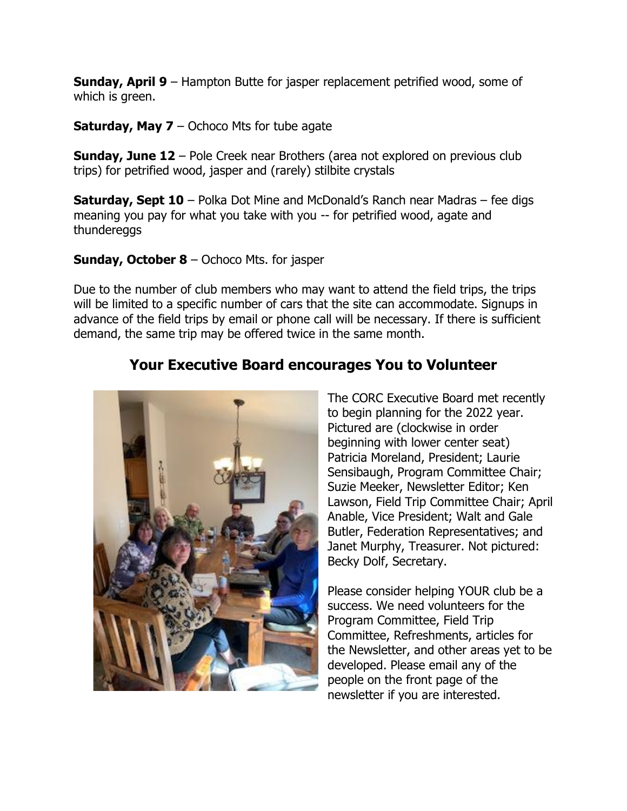**Sunday, April 9** – Hampton Butte for jasper replacement petrified wood, some of which is green.

**Saturday, May 7** – Ochoco Mts for tube agate

**Sunday, June 12** – Pole Creek near Brothers (area not explored on previous club trips) for petrified wood, jasper and (rarely) stilbite crystals

**Saturday, Sept 10** – Polka Dot Mine and McDonald's Ranch near Madras – fee digs meaning you pay for what you take with you -- for petrified wood, agate and thundereggs

#### **Sunday, October 8** – Ochoco Mts. for jasper

Due to the number of club members who may want to attend the field trips, the trips will be limited to a specific number of cars that the site can accommodate. Signups in advance of the field trips by email or phone call will be necessary. If there is sufficient demand, the same trip may be offered twice in the same month.

## **Your Executive Board encourages You to Volunteer**



The CORC Executive Board met recently to begin planning for the 2022 year. Pictured are (clockwise in order beginning with lower center seat) Patricia Moreland, President; Laurie Sensibaugh, Program Committee Chair; Suzie Meeker, Newsletter Editor; Ken Lawson, Field Trip Committee Chair; April Anable, Vice President; Walt and Gale Butler, Federation Representatives; and Janet Murphy, Treasurer. Not pictured: Becky Dolf, Secretary.

Please consider helping YOUR club be a success. We need volunteers for the Program Committee, Field Trip Committee, Refreshments, articles for the Newsletter, and other areas yet to be developed. Please email any of the people on the front page of the newsletter if you are interested.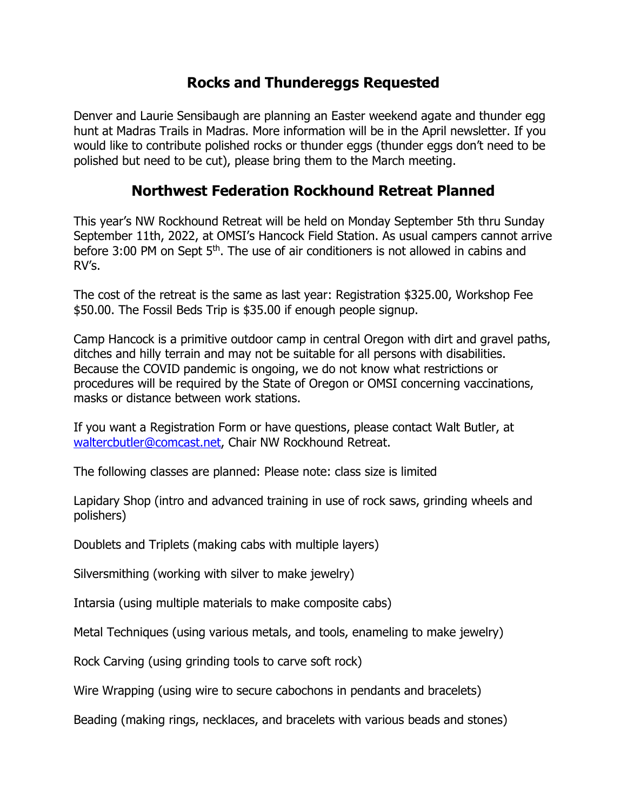#### **Rocks and Thundereggs Requested**

Denver and Laurie Sensibaugh are planning an Easter weekend agate and thunder egg hunt at Madras Trails in Madras. More information will be in the April newsletter. If you would like to contribute polished rocks or thunder eggs (thunder eggs don't need to be polished but need to be cut), please bring them to the March meeting.

#### **Northwest Federation Rockhound Retreat Planned**

This year's NW Rockhound Retreat will be held on Monday September 5th thru Sunday September 11th, 2022, at OMSI's Hancock Field Station. As usual campers cannot arrive before 3:00 PM on Sept 5<sup>th</sup>. The use of air conditioners is not allowed in cabins and RV's.

The cost of the retreat is the same as last year: Registration \$325.00, Workshop Fee \$50.00. The Fossil Beds Trip is \$35.00 if enough people signup.

Camp Hancock is a primitive outdoor camp in central Oregon with dirt and gravel paths, ditches and hilly terrain and may not be suitable for all persons with disabilities. Because the COVID pandemic is ongoing, we do not know what restrictions or procedures will be required by the State of Oregon or OMSI concerning vaccinations, masks or distance between work stations.

If you want a Registration Form or have questions, please contact Walt Butler, at [waltercbutler@comcast.net,](mailto:waltercbutler@comcast.net) Chair NW Rockhound Retreat.

The following classes are planned: Please note: class size is limited

Lapidary Shop (intro and advanced training in use of rock saws, grinding wheels and polishers)

Doublets and Triplets (making cabs with multiple layers)

Silversmithing (working with silver to make jewelry)

Intarsia (using multiple materials to make composite cabs)

Metal Techniques (using various metals, and tools, enameling to make jewelry)

Rock Carving (using grinding tools to carve soft rock)

Wire Wrapping (using wire to secure cabochons in pendants and bracelets)

Beading (making rings, necklaces, and bracelets with various beads and stones)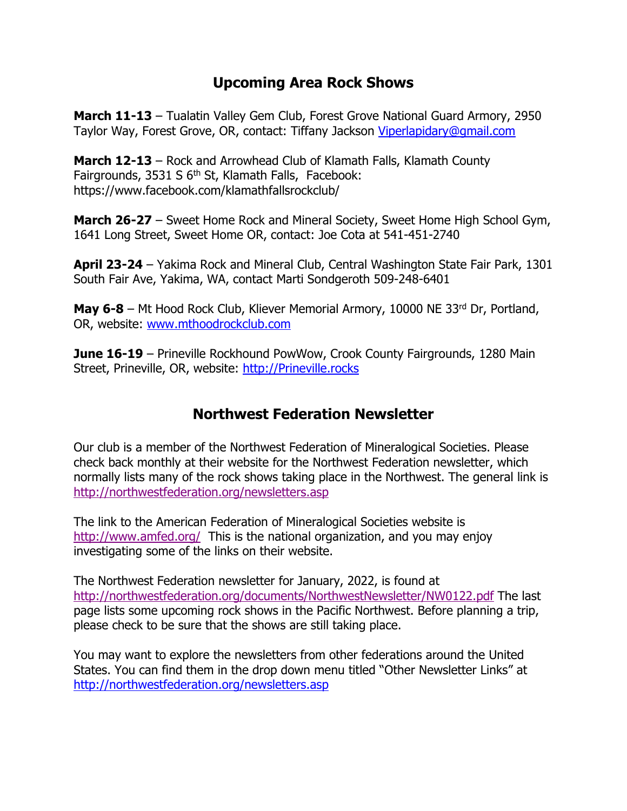#### **Upcoming Area Rock Shows**

**March 11-13** – Tualatin Valley Gem Club, Forest Grove National Guard Armory, 2950 Taylor Way, Forest Grove, OR, contact: Tiffany Jackson [Viperlapidary@gmail.com](mailto:Viperlapidary@gmail.com)

**March 12-13** – Rock and Arrowhead Club of Klamath Falls, Klamath County Fairgrounds,  $3531 S 6<sup>th</sup> St$ , Klamath Falls, Facebook: https://www.facebook.com/klamathfallsrockclub/

**March 26-27** – Sweet Home Rock and Mineral Society, Sweet Home High School Gym, 1641 Long Street, Sweet Home OR, contact: Joe Cota at 541-451-2740

**April 23-24** – Yakima Rock and Mineral Club, Central Washington State Fair Park, 1301 South Fair Ave, Yakima, WA, contact Marti Sondgeroth 509-248-6401

**May 6-8** – Mt Hood Rock Club, Kliever Memorial Armory, 10000 NE 33<sup>rd</sup> Dr, Portland, OR, website: [www.mthoodrockclub.com](http://www.mthoodrockclub.com/)

**June 16-19** – Prineville Rockhound PowWow, Crook County Fairgrounds, 1280 Main Street, Prineville, OR, website: [http://Prineville.rocks](http://prineville.rocks/)

#### **Northwest Federation Newsletter**

Our club is a member of the Northwest Federation of Mineralogical Societies. Please check back monthly at their website for the Northwest Federation newsletter, which normally lists many of the rock shows taking place in the Northwest. The general link is <http://northwestfederation.org/newsletters.asp>

The link to the American Federation of Mineralogical Societies website is <http://www.amfed.org/> This is the national organization, and you may enjoy investigating some of the links on their website.

The Northwest Federation newsletter for January, 2022, is found at <http://northwestfederation.org/documents/NorthwestNewsletter/NW0122.pdf> The last page lists some upcoming rock shows in the Pacific Northwest. Before planning a trip, please check to be sure that the shows are still taking place.

You may want to explore the newsletters from other federations around the United States. You can find them in the drop down menu titled "Other Newsletter Links" at <http://northwestfederation.org/newsletters.asp>